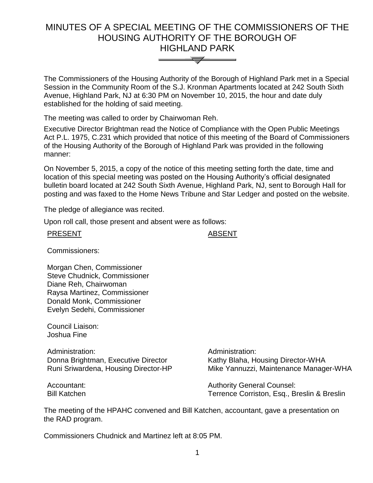## MINUTES OF A SPECIAL MEETING OF THE COMMISSIONERS OF THE HOUSING AUTHORITY OF THE BOROUGH OF HIGHLAND PARK



The Commissioners of the Housing Authority of the Borough of Highland Park met in a Special Session in the Community Room of the S.J. Kronman Apartments located at 242 South Sixth Avenue, Highland Park, NJ at 6:30 PM on November 10, 2015, the hour and date duly established for the holding of said meeting.

The meeting was called to order by Chairwoman Reh.

Executive Director Brightman read the Notice of Compliance with the Open Public Meetings Act P.L. 1975, C.231 which provided that notice of this meeting of the Board of Commissioners of the Housing Authority of the Borough of Highland Park was provided in the following manner:

On November 5, 2015, a copy of the notice of this meeting setting forth the date, time and location of this special meeting was posted on the Housing Authority's official designated bulletin board located at 242 South Sixth Avenue, Highland Park, NJ, sent to Borough Hall for posting and was faxed to the Home News Tribune and Star Ledger and posted on the website.

The pledge of allegiance was recited.

Upon roll call, those present and absent were as follows:

## PRESENT ABSENT

Commissioners:

Morgan Chen, Commissioner Steve Chudnick, Commissioner Diane Reh, Chairwoman Raysa Martinez, Commissioner Donald Monk, Commissioner Evelyn Sedehi, Commissioner

Council Liaison: Joshua Fine

Administration: Administration: Donna Brightman, Executive Director Runi Sriwardena, Housing Director-HP

Accountant: Bill Katchen Kathy Blaha, Housing Director-WHA Mike Yannuzzi, Maintenance Manager-WHA

Authority General Counsel: Terrence Corriston, Esq., Breslin & Breslin

The meeting of the HPAHC convened and Bill Katchen, accountant, gave a presentation on the RAD program.

Commissioners Chudnick and Martinez left at 8:05 PM.